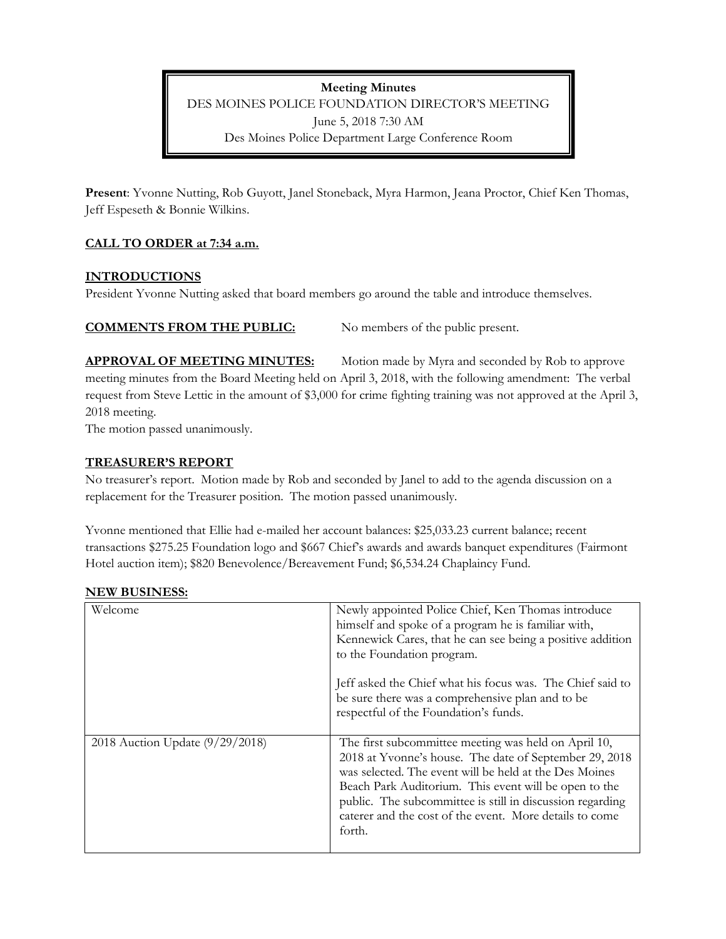**Meeting Minutes**  DES MOINES POLICE FOUNDATION DIRECTOR'S MEETING June 5, 2018 7:30 AM Des Moines Police Department Large Conference Room

**Present**: Yvonne Nutting, Rob Guyott, Janel Stoneback, Myra Harmon, Jeana Proctor, Chief Ken Thomas, Jeff Espeseth & Bonnie Wilkins.

# **CALL TO ORDER at 7:34 a.m.**

# **INTRODUCTIONS**

President Yvonne Nutting asked that board members go around the table and introduce themselves.

## **COMMENTS FROM THE PUBLIC:** No members of the public present.

**APPROVAL OF MEETING MINUTES:** Motion made by Myra and seconded by Rob to approve meeting minutes from the Board Meeting held on April 3, 2018, with the following amendment: The verbal request from Steve Lettic in the amount of \$3,000 for crime fighting training was not approved at the April 3, 2018 meeting.

The motion passed unanimously.

# **TREASURER'S REPORT**

No treasurer's report. Motion made by Rob and seconded by Janel to add to the agenda discussion on a replacement for the Treasurer position. The motion passed unanimously.

Yvonne mentioned that Ellie had e-mailed her account balances: \$25,033.23 current balance; recent transactions \$275.25 Foundation logo and \$667 Chief's awards and awards banquet expenditures (Fairmont Hotel auction item); \$820 Benevolence/Bereavement Fund; \$6,534.24 Chaplaincy Fund.

| Welcome                         | Newly appointed Police Chief, Ken Thomas introduce<br>himself and spoke of a program he is familiar with,<br>Kennewick Cares, that he can see being a positive addition<br>to the Foundation program.                                                                                                                                                               |
|---------------------------------|---------------------------------------------------------------------------------------------------------------------------------------------------------------------------------------------------------------------------------------------------------------------------------------------------------------------------------------------------------------------|
|                                 | Jeff asked the Chief what his focus was. The Chief said to<br>be sure there was a comprehensive plan and to be<br>respectful of the Foundation's funds.                                                                                                                                                                                                             |
| 2018 Auction Update (9/29/2018) | The first subcommittee meeting was held on April 10,<br>2018 at Yvonne's house. The date of September 29, 2018<br>was selected. The event will be held at the Des Moines<br>Beach Park Auditorium. This event will be open to the<br>public. The subcommittee is still in discussion regarding<br>caterer and the cost of the event. More details to come<br>forth. |

## **NEW BUSINESS:**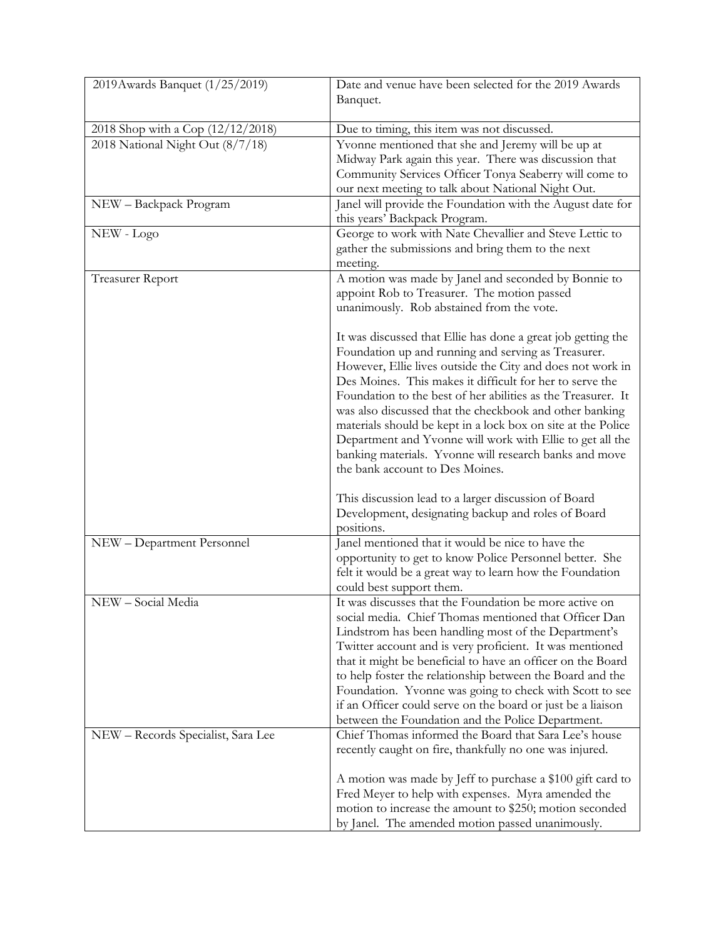| 2019 Awards Banquet (1/25/2019)    | Date and venue have been selected for the 2019 Awards<br>Banquet.                                                                                                                                                                                                                                                                                                                                                                                                                                                                              |
|------------------------------------|------------------------------------------------------------------------------------------------------------------------------------------------------------------------------------------------------------------------------------------------------------------------------------------------------------------------------------------------------------------------------------------------------------------------------------------------------------------------------------------------------------------------------------------------|
| 2018 Shop with a Cop (12/12/2018)  | Due to timing, this item was not discussed.                                                                                                                                                                                                                                                                                                                                                                                                                                                                                                    |
| 2018 National Night Out (8/7/18)   | Yvonne mentioned that she and Jeremy will be up at<br>Midway Park again this year. There was discussion that<br>Community Services Officer Tonya Seaberry will come to<br>our next meeting to talk about National Night Out.                                                                                                                                                                                                                                                                                                                   |
| NEW - Backpack Program             | Janel will provide the Foundation with the August date for<br>this years' Backpack Program.                                                                                                                                                                                                                                                                                                                                                                                                                                                    |
| NEW - Logo                         | George to work with Nate Chevallier and Steve Lettic to<br>gather the submissions and bring them to the next<br>meeting.                                                                                                                                                                                                                                                                                                                                                                                                                       |
| <b>Treasurer Report</b>            | A motion was made by Janel and seconded by Bonnie to<br>appoint Rob to Treasurer. The motion passed<br>unanimously. Rob abstained from the vote.<br>It was discussed that Ellie has done a great job getting the<br>Foundation up and running and serving as Treasurer.<br>However, Ellie lives outside the City and does not work in                                                                                                                                                                                                          |
|                                    | Des Moines. This makes it difficult for her to serve the<br>Foundation to the best of her abilities as the Treasurer. It<br>was also discussed that the checkbook and other banking<br>materials should be kept in a lock box on site at the Police<br>Department and Yvonne will work with Ellie to get all the<br>banking materials. Yvonne will research banks and move<br>the bank account to Des Moines.<br>This discussion lead to a larger discussion of Board                                                                          |
|                                    | Development, designating backup and roles of Board<br>positions.                                                                                                                                                                                                                                                                                                                                                                                                                                                                               |
| NEW - Department Personnel         | Janel mentioned that it would be nice to have the<br>opportunity to get to know Police Personnel better. She<br>felt it would be a great way to learn how the Foundation<br>could best support them.                                                                                                                                                                                                                                                                                                                                           |
| NEW – Social Media                 | It was discusses that the Foundation be more active on<br>social media. Chief Thomas mentioned that Officer Dan<br>Lindstrom has been handling most of the Department's<br>Twitter account and is very proficient. It was mentioned<br>that it might be beneficial to have an officer on the Board<br>to help foster the relationship between the Board and the<br>Foundation. Yvonne was going to check with Scott to see<br>if an Officer could serve on the board or just be a liaison<br>between the Foundation and the Police Department. |
| NEW - Records Specialist, Sara Lee | Chief Thomas informed the Board that Sara Lee's house<br>recently caught on fire, thankfully no one was injured.<br>A motion was made by Jeff to purchase a \$100 gift card to<br>Fred Meyer to help with expenses. Myra amended the<br>motion to increase the amount to \$250; motion seconded<br>by Janel. The amended motion passed unanimously.                                                                                                                                                                                            |